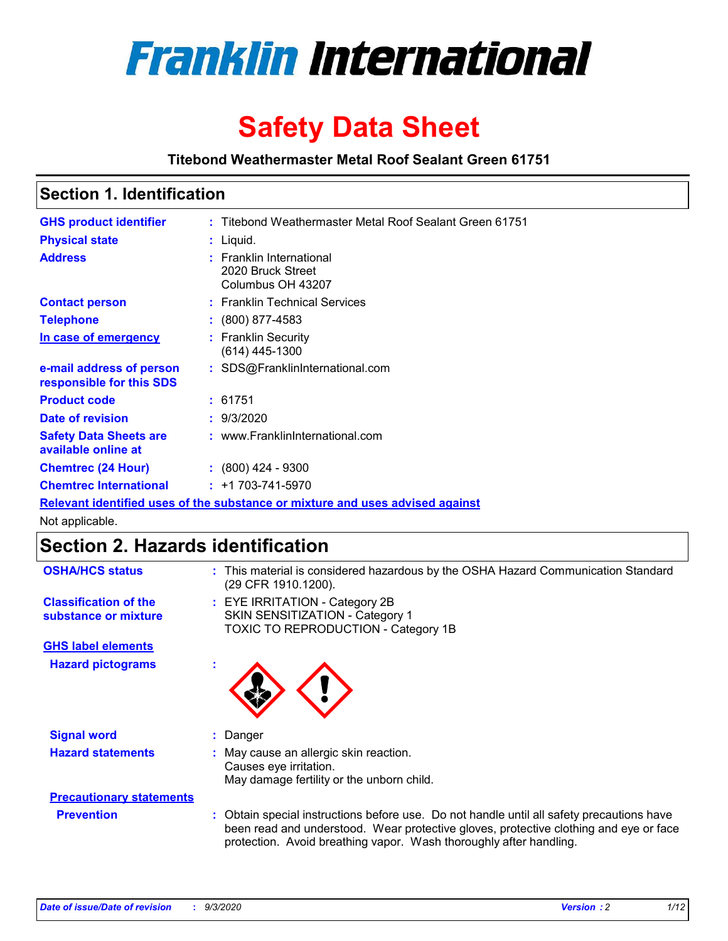

# **Safety Data Sheet**

**Titebond Weathermaster Metal Roof Sealant Green 61751**

# **Section 1. Identification**

| <b>GHS product identifier</b>                                                 |  | : Titebond Weathermaster Metal Roof Sealant Green 61751            |  |
|-------------------------------------------------------------------------------|--|--------------------------------------------------------------------|--|
| <b>Physical state</b>                                                         |  | $:$ Liquid.                                                        |  |
| <b>Address</b>                                                                |  | : Franklin International<br>2020 Bruck Street<br>Columbus OH 43207 |  |
| <b>Contact person</b>                                                         |  | : Franklin Technical Services                                      |  |
| <b>Telephone</b>                                                              |  | $\colon$ (800) 877-4583                                            |  |
| In case of emergency                                                          |  | : Franklin Security<br>(614) 445-1300                              |  |
| e-mail address of person<br>responsible for this SDS                          |  | : SDS@FranklinInternational.com                                    |  |
| <b>Product code</b>                                                           |  | : 61751                                                            |  |
| Date of revision                                                              |  | : 9/3/2020                                                         |  |
| <b>Safety Data Sheets are</b><br>available online at                          |  | : www.FranklinInternational.com                                    |  |
| <b>Chemtrec (24 Hour)</b>                                                     |  | $: (800)$ 424 - 9300                                               |  |
| <b>Chemtrec International</b>                                                 |  | $: +1703 - 741 - 5970$                                             |  |
| Relevant identified uses of the substance or mixture and uses advised against |  |                                                                    |  |

Not applicable.

# **Section 2. Hazards identification**

| <b>OSHA/HCS status</b>                               | : This material is considered hazardous by the OSHA Hazard Communication Standard<br>(29 CFR 1910.1200).                                                                                                                                                 |  |  |
|------------------------------------------------------|----------------------------------------------------------------------------------------------------------------------------------------------------------------------------------------------------------------------------------------------------------|--|--|
| <b>Classification of the</b><br>substance or mixture | : EYE IRRITATION - Category 2B<br>SKIN SENSITIZATION - Category 1<br>TOXIC TO REPRODUCTION - Category 1B                                                                                                                                                 |  |  |
| <b>GHS label elements</b>                            |                                                                                                                                                                                                                                                          |  |  |
| <b>Hazard pictograms</b>                             |                                                                                                                                                                                                                                                          |  |  |
| <b>Signal word</b>                                   | Danger<br>÷.                                                                                                                                                                                                                                             |  |  |
| <b>Hazard statements</b>                             | May cause an allergic skin reaction.<br>Causes eye irritation.<br>May damage fertility or the unborn child.                                                                                                                                              |  |  |
| <b>Precautionary statements</b>                      |                                                                                                                                                                                                                                                          |  |  |
| <b>Prevention</b>                                    | : Obtain special instructions before use. Do not handle until all safety precautions have<br>been read and understood. Wear protective gloves, protective clothing and eye or face<br>protection. Avoid breathing vapor. Wash thoroughly after handling. |  |  |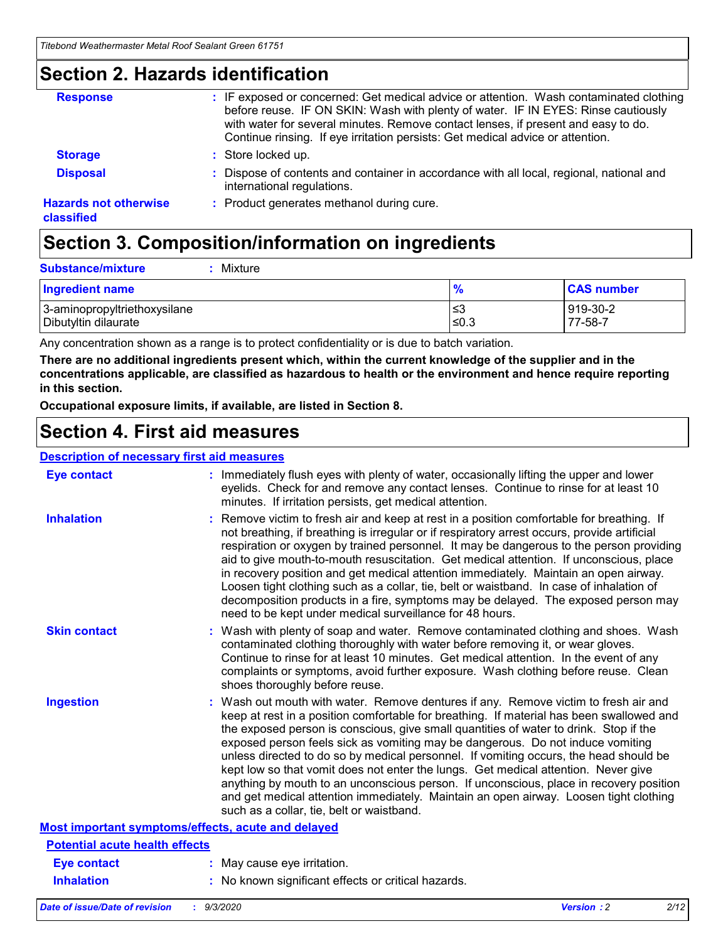### **Section 2. Hazards identification**

| <b>Response</b>                            | : IF exposed or concerned: Get medical advice or attention. Wash contaminated clothing<br>before reuse. IF ON SKIN: Wash with plenty of water. IF IN EYES: Rinse cautiously<br>with water for several minutes. Remove contact lenses, if present and easy to do.<br>Continue rinsing. If eye irritation persists: Get medical advice or attention. |
|--------------------------------------------|----------------------------------------------------------------------------------------------------------------------------------------------------------------------------------------------------------------------------------------------------------------------------------------------------------------------------------------------------|
| <b>Storage</b>                             | : Store locked up.                                                                                                                                                                                                                                                                                                                                 |
| <b>Disposal</b>                            | : Dispose of contents and container in accordance with all local, regional, national and<br>international regulations.                                                                                                                                                                                                                             |
| <b>Hazards not otherwise</b><br>classified | : Product generates methanol during cure.                                                                                                                                                                                                                                                                                                          |

# **Section 3. Composition/information on ingredients**

| <b>Ingredient name</b>       | $\frac{9}{6}$ | <b>CAS number</b> |
|------------------------------|---------------|-------------------|
| 3-aminopropyltriethoxysilane | ≤3            | 919-30-2          |
| Dibutyltin dilaurate         | ∣≤0.3         | $77 - 58 - 1$     |

Any concentration shown as a range is to protect confidentiality or is due to batch variation.

**There are no additional ingredients present which, within the current knowledge of the supplier and in the concentrations applicable, are classified as hazardous to health or the environment and hence require reporting in this section.**

**Occupational exposure limits, if available, are listed in Section 8.**

# **Section 4. First aid measures**

| <b>Description of necessary first aid measures</b> |                                                                                                                                                                                                                                                                                                                                                                                                                                                                                                                                                                                                                                                                                                                                                                           |  |  |  |
|----------------------------------------------------|---------------------------------------------------------------------------------------------------------------------------------------------------------------------------------------------------------------------------------------------------------------------------------------------------------------------------------------------------------------------------------------------------------------------------------------------------------------------------------------------------------------------------------------------------------------------------------------------------------------------------------------------------------------------------------------------------------------------------------------------------------------------------|--|--|--|
| <b>Eye contact</b>                                 | : Immediately flush eyes with plenty of water, occasionally lifting the upper and lower<br>eyelids. Check for and remove any contact lenses. Continue to rinse for at least 10<br>minutes. If irritation persists, get medical attention.                                                                                                                                                                                                                                                                                                                                                                                                                                                                                                                                 |  |  |  |
| <b>Inhalation</b>                                  | : Remove victim to fresh air and keep at rest in a position comfortable for breathing. If<br>not breathing, if breathing is irregular or if respiratory arrest occurs, provide artificial<br>respiration or oxygen by trained personnel. It may be dangerous to the person providing<br>aid to give mouth-to-mouth resuscitation. Get medical attention. If unconscious, place<br>in recovery position and get medical attention immediately. Maintain an open airway.<br>Loosen tight clothing such as a collar, tie, belt or waistband. In case of inhalation of<br>decomposition products in a fire, symptoms may be delayed. The exposed person may<br>need to be kept under medical surveillance for 48 hours.                                                       |  |  |  |
| <b>Skin contact</b>                                | : Wash with plenty of soap and water. Remove contaminated clothing and shoes. Wash<br>contaminated clothing thoroughly with water before removing it, or wear gloves.<br>Continue to rinse for at least 10 minutes. Get medical attention. In the event of any<br>complaints or symptoms, avoid further exposure. Wash clothing before reuse. Clean<br>shoes thoroughly before reuse.                                                                                                                                                                                                                                                                                                                                                                                     |  |  |  |
| <b>Ingestion</b>                                   | : Wash out mouth with water. Remove dentures if any. Remove victim to fresh air and<br>keep at rest in a position comfortable for breathing. If material has been swallowed and<br>the exposed person is conscious, give small quantities of water to drink. Stop if the<br>exposed person feels sick as vomiting may be dangerous. Do not induce vomiting<br>unless directed to do so by medical personnel. If vomiting occurs, the head should be<br>kept low so that vomit does not enter the lungs. Get medical attention. Never give<br>anything by mouth to an unconscious person. If unconscious, place in recovery position<br>and get medical attention immediately. Maintain an open airway. Loosen tight clothing<br>such as a collar, tie, belt or waistband. |  |  |  |
| Most important symptoms/effects, acute and delayed |                                                                                                                                                                                                                                                                                                                                                                                                                                                                                                                                                                                                                                                                                                                                                                           |  |  |  |
| <b>Potential acute health effects</b>              |                                                                                                                                                                                                                                                                                                                                                                                                                                                                                                                                                                                                                                                                                                                                                                           |  |  |  |
| <b>Eye contact</b>                                 | : May cause eye irritation.                                                                                                                                                                                                                                                                                                                                                                                                                                                                                                                                                                                                                                                                                                                                               |  |  |  |
| <b>Inhalation</b>                                  | : No known significant effects or critical hazards.                                                                                                                                                                                                                                                                                                                                                                                                                                                                                                                                                                                                                                                                                                                       |  |  |  |
|                                                    |                                                                                                                                                                                                                                                                                                                                                                                                                                                                                                                                                                                                                                                                                                                                                                           |  |  |  |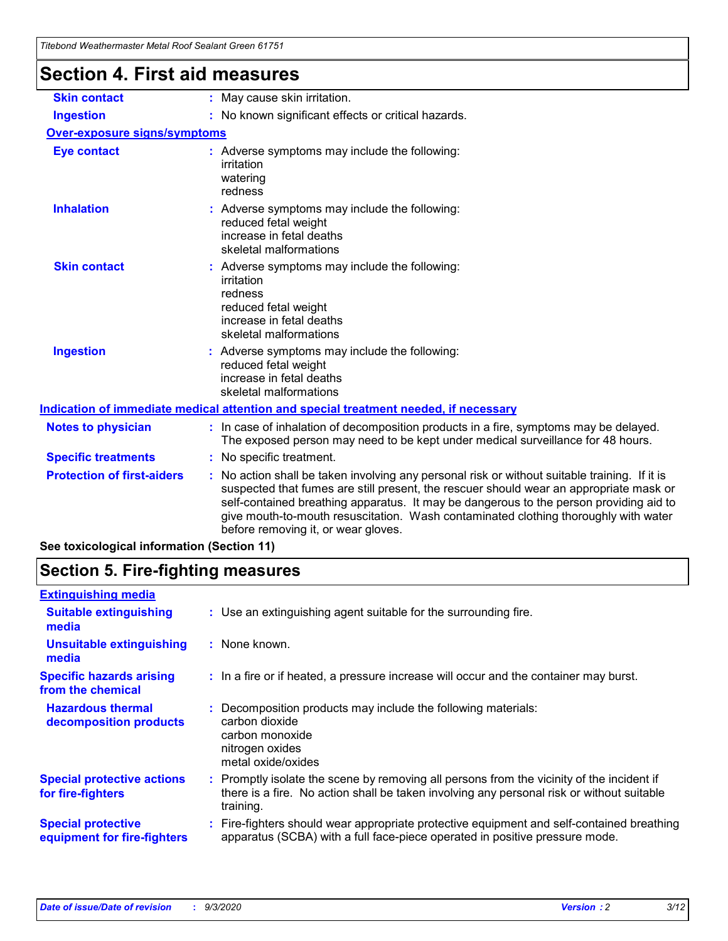| Hebong Weathermaster Metal Roof Sealant Green 61751 |                                                                                                                                                                                                                                                                                                                                                                                                               |  |
|-----------------------------------------------------|---------------------------------------------------------------------------------------------------------------------------------------------------------------------------------------------------------------------------------------------------------------------------------------------------------------------------------------------------------------------------------------------------------------|--|
| <b>Section 4. First aid measures</b>                |                                                                                                                                                                                                                                                                                                                                                                                                               |  |
| <b>Skin contact</b>                                 | : May cause skin irritation.                                                                                                                                                                                                                                                                                                                                                                                  |  |
| <b>Ingestion</b>                                    | : No known significant effects or critical hazards.                                                                                                                                                                                                                                                                                                                                                           |  |
| <b>Over-exposure signs/symptoms</b>                 |                                                                                                                                                                                                                                                                                                                                                                                                               |  |
| <b>Eye contact</b>                                  | : Adverse symptoms may include the following:<br>irritation<br>watering<br>redness                                                                                                                                                                                                                                                                                                                            |  |
| <b>Inhalation</b>                                   | : Adverse symptoms may include the following:<br>reduced fetal weight<br>increase in fetal deaths<br>skeletal malformations                                                                                                                                                                                                                                                                                   |  |
| <b>Skin contact</b>                                 | : Adverse symptoms may include the following:<br>irritation<br>redness<br>reduced fetal weight<br>increase in fetal deaths<br>skeletal malformations                                                                                                                                                                                                                                                          |  |
| <b>Ingestion</b>                                    | : Adverse symptoms may include the following:<br>reduced fetal weight<br>increase in fetal deaths<br>skeletal malformations                                                                                                                                                                                                                                                                                   |  |
|                                                     | Indication of immediate medical attention and special treatment needed, if necessary                                                                                                                                                                                                                                                                                                                          |  |
| <b>Notes to physician</b>                           | : In case of inhalation of decomposition products in a fire, symptoms may be delayed.<br>The exposed person may need to be kept under medical surveillance for 48 hours.                                                                                                                                                                                                                                      |  |
| <b>Specific treatments</b>                          | No specific treatment.                                                                                                                                                                                                                                                                                                                                                                                        |  |
| <b>Protection of first-aiders</b>                   | No action shall be taken involving any personal risk or without suitable training. If it is<br>suspected that fumes are still present, the rescuer should wear an appropriate mask or<br>self-contained breathing apparatus. It may be dangerous to the person providing aid to<br>give mouth-to-mouth resuscitation. Wash contaminated clothing thoroughly with water<br>before removing it, or wear gloves. |  |
| See toxicological information (Section 11)          |                                                                                                                                                                                                                                                                                                                                                                                                               |  |

# **Section 5. Fire-fighting measures**

| <b>Extinguishing media</b>                               |                                                                                                                                                                                                     |
|----------------------------------------------------------|-----------------------------------------------------------------------------------------------------------------------------------------------------------------------------------------------------|
| <b>Suitable extinguishing</b><br>media                   | : Use an extinguishing agent suitable for the surrounding fire.                                                                                                                                     |
| <b>Unsuitable extinguishing</b><br>media                 | : None known.                                                                                                                                                                                       |
| <b>Specific hazards arising</b><br>from the chemical     | : In a fire or if heated, a pressure increase will occur and the container may burst.                                                                                                               |
| <b>Hazardous thermal</b><br>decomposition products       | Decomposition products may include the following materials:<br>carbon dioxide<br>carbon monoxide<br>nitrogen oxides<br>metal oxide/oxides                                                           |
| <b>Special protective actions</b><br>for fire-fighters   | : Promptly isolate the scene by removing all persons from the vicinity of the incident if<br>there is a fire. No action shall be taken involving any personal risk or without suitable<br>training. |
| <b>Special protective</b><br>equipment for fire-fighters | Fire-fighters should wear appropriate protective equipment and self-contained breathing<br>apparatus (SCBA) with a full face-piece operated in positive pressure mode.                              |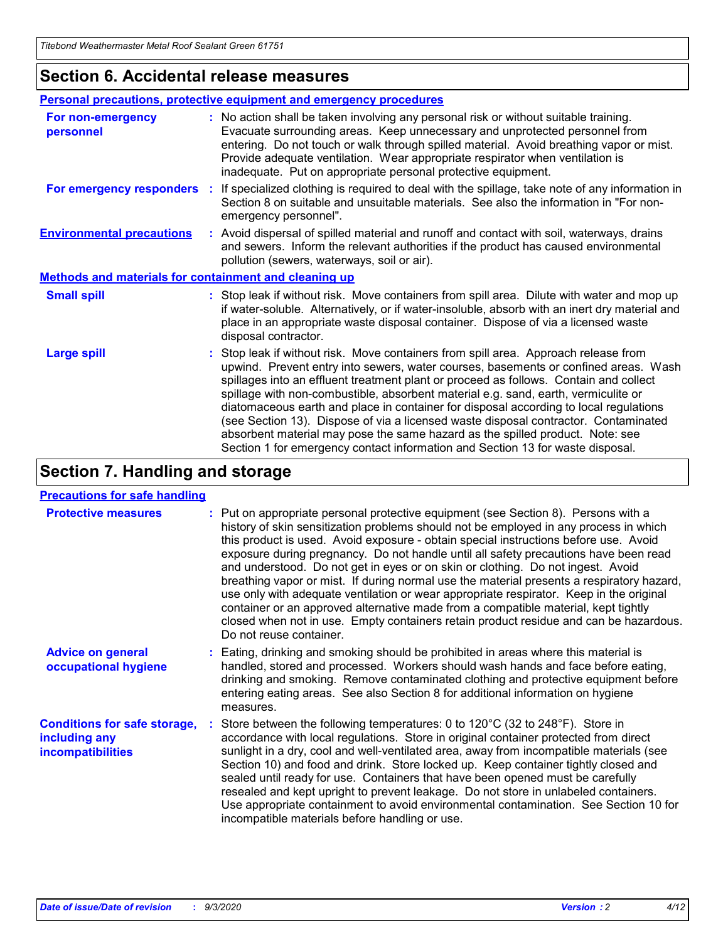### **Section 6. Accidental release measures**

|                                                              | Personal precautions, protective equipment and emergency procedures                                                                                                                                                                                                                                                                                                                                                                                                                                                                                                                                                                                                                                          |  |  |
|--------------------------------------------------------------|--------------------------------------------------------------------------------------------------------------------------------------------------------------------------------------------------------------------------------------------------------------------------------------------------------------------------------------------------------------------------------------------------------------------------------------------------------------------------------------------------------------------------------------------------------------------------------------------------------------------------------------------------------------------------------------------------------------|--|--|
| For non-emergency<br>personnel                               | : No action shall be taken involving any personal risk or without suitable training.<br>Evacuate surrounding areas. Keep unnecessary and unprotected personnel from<br>entering. Do not touch or walk through spilled material. Avoid breathing vapor or mist.<br>Provide adequate ventilation. Wear appropriate respirator when ventilation is<br>inadequate. Put on appropriate personal protective equipment.                                                                                                                                                                                                                                                                                             |  |  |
| For emergency responders                                     | : If specialized clothing is required to deal with the spillage, take note of any information in<br>Section 8 on suitable and unsuitable materials. See also the information in "For non-<br>emergency personnel".                                                                                                                                                                                                                                                                                                                                                                                                                                                                                           |  |  |
| <b>Environmental precautions</b>                             | : Avoid dispersal of spilled material and runoff and contact with soil, waterways, drains<br>and sewers. Inform the relevant authorities if the product has caused environmental<br>pollution (sewers, waterways, soil or air).                                                                                                                                                                                                                                                                                                                                                                                                                                                                              |  |  |
| <b>Methods and materials for containment and cleaning up</b> |                                                                                                                                                                                                                                                                                                                                                                                                                                                                                                                                                                                                                                                                                                              |  |  |
| <b>Small spill</b>                                           | : Stop leak if without risk. Move containers from spill area. Dilute with water and mop up<br>if water-soluble. Alternatively, or if water-insoluble, absorb with an inert dry material and<br>place in an appropriate waste disposal container. Dispose of via a licensed waste<br>disposal contractor.                                                                                                                                                                                                                                                                                                                                                                                                     |  |  |
| <b>Large spill</b>                                           | : Stop leak if without risk. Move containers from spill area. Approach release from<br>upwind. Prevent entry into sewers, water courses, basements or confined areas. Wash<br>spillages into an effluent treatment plant or proceed as follows. Contain and collect<br>spillage with non-combustible, absorbent material e.g. sand, earth, vermiculite or<br>diatomaceous earth and place in container for disposal according to local regulations<br>(see Section 13). Dispose of via a licensed waste disposal contractor. Contaminated<br>absorbent material may pose the same hazard as the spilled product. Note: see<br>Section 1 for emergency contact information and Section 13 for waste disposal. |  |  |

# **Section 7. Handling and storage**

### **Precautions for safe handling**

| <b>Protective measures</b>                                                       | : Put on appropriate personal protective equipment (see Section 8). Persons with a<br>history of skin sensitization problems should not be employed in any process in which<br>this product is used. Avoid exposure - obtain special instructions before use. Avoid<br>exposure during pregnancy. Do not handle until all safety precautions have been read<br>and understood. Do not get in eyes or on skin or clothing. Do not ingest. Avoid<br>breathing vapor or mist. If during normal use the material presents a respiratory hazard,<br>use only with adequate ventilation or wear appropriate respirator. Keep in the original<br>container or an approved alternative made from a compatible material, kept tightly<br>closed when not in use. Empty containers retain product residue and can be hazardous.<br>Do not reuse container. |
|----------------------------------------------------------------------------------|--------------------------------------------------------------------------------------------------------------------------------------------------------------------------------------------------------------------------------------------------------------------------------------------------------------------------------------------------------------------------------------------------------------------------------------------------------------------------------------------------------------------------------------------------------------------------------------------------------------------------------------------------------------------------------------------------------------------------------------------------------------------------------------------------------------------------------------------------|
| <b>Advice on general</b><br>occupational hygiene                                 | : Eating, drinking and smoking should be prohibited in areas where this material is<br>handled, stored and processed. Workers should wash hands and face before eating,<br>drinking and smoking. Remove contaminated clothing and protective equipment before<br>entering eating areas. See also Section 8 for additional information on hygiene<br>measures.                                                                                                                                                                                                                                                                                                                                                                                                                                                                                    |
| <b>Conditions for safe storage,</b><br>including any<br><i>incompatibilities</i> | Store between the following temperatures: 0 to $120^{\circ}$ C (32 to $248^{\circ}$ F). Store in<br>accordance with local regulations. Store in original container protected from direct<br>sunlight in a dry, cool and well-ventilated area, away from incompatible materials (see<br>Section 10) and food and drink. Store locked up. Keep container tightly closed and<br>sealed until ready for use. Containers that have been opened must be carefully<br>resealed and kept upright to prevent leakage. Do not store in unlabeled containers.<br>Use appropriate containment to avoid environmental contamination. See Section 10 for<br>incompatible materials before handling or use.                                                                                                                                                     |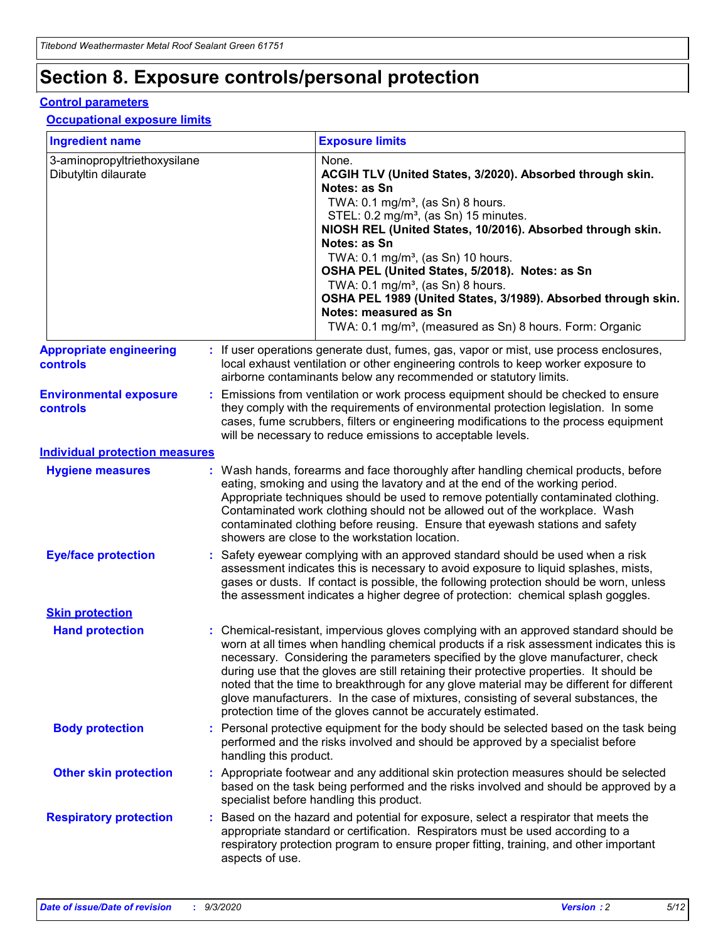# **Section 8. Exposure controls/personal protection**

### **Control parameters**

### **Occupational exposure limits**

| <b>Ingredient name</b>                               |    |                        | <b>Exposure limits</b>                                                                                                                                                                                                                                                                                                                                                                                                                                                                                                                                                                                                 |
|------------------------------------------------------|----|------------------------|------------------------------------------------------------------------------------------------------------------------------------------------------------------------------------------------------------------------------------------------------------------------------------------------------------------------------------------------------------------------------------------------------------------------------------------------------------------------------------------------------------------------------------------------------------------------------------------------------------------------|
| 3-aminopropyltriethoxysilane<br>Dibutyltin dilaurate |    |                        | None.<br>ACGIH TLV (United States, 3/2020). Absorbed through skin.<br>Notes: as Sn<br>TWA: $0.1 \text{ mg/m}^3$ , (as Sn) 8 hours.<br>STEL: 0.2 mg/m <sup>3</sup> , (as Sn) 15 minutes.<br>NIOSH REL (United States, 10/2016). Absorbed through skin.<br>Notes: as Sn<br>TWA: 0.1 mg/m <sup>3</sup> , (as Sn) 10 hours.<br>OSHA PEL (United States, 5/2018). Notes: as Sn<br>TWA: 0.1 mg/m <sup>3</sup> , (as Sn) 8 hours.<br>OSHA PEL 1989 (United States, 3/1989). Absorbed through skin.<br>Notes: measured as Sn<br>TWA: 0.1 mg/m <sup>3</sup> , (measured as Sn) 8 hours. Form: Organic                           |
| <b>Appropriate engineering</b><br>controls           |    |                        | : If user operations generate dust, fumes, gas, vapor or mist, use process enclosures,<br>local exhaust ventilation or other engineering controls to keep worker exposure to<br>airborne contaminants below any recommended or statutory limits.                                                                                                                                                                                                                                                                                                                                                                       |
| <b>Environmental exposure</b><br>controls            |    |                        | Emissions from ventilation or work process equipment should be checked to ensure<br>they comply with the requirements of environmental protection legislation. In some<br>cases, fume scrubbers, filters or engineering modifications to the process equipment<br>will be necessary to reduce emissions to acceptable levels.                                                                                                                                                                                                                                                                                          |
| <b>Individual protection measures</b>                |    |                        |                                                                                                                                                                                                                                                                                                                                                                                                                                                                                                                                                                                                                        |
| <b>Hygiene measures</b>                              |    |                        | : Wash hands, forearms and face thoroughly after handling chemical products, before<br>eating, smoking and using the lavatory and at the end of the working period.<br>Appropriate techniques should be used to remove potentially contaminated clothing.<br>Contaminated work clothing should not be allowed out of the workplace. Wash<br>contaminated clothing before reusing. Ensure that eyewash stations and safety<br>showers are close to the workstation location.                                                                                                                                            |
| <b>Eye/face protection</b>                           |    |                        | Safety eyewear complying with an approved standard should be used when a risk<br>assessment indicates this is necessary to avoid exposure to liquid splashes, mists,<br>gases or dusts. If contact is possible, the following protection should be worn, unless<br>the assessment indicates a higher degree of protection: chemical splash goggles.                                                                                                                                                                                                                                                                    |
| <b>Skin protection</b>                               |    |                        |                                                                                                                                                                                                                                                                                                                                                                                                                                                                                                                                                                                                                        |
| <b>Hand protection</b>                               |    |                        | : Chemical-resistant, impervious gloves complying with an approved standard should be<br>worn at all times when handling chemical products if a risk assessment indicates this is<br>necessary. Considering the parameters specified by the glove manufacturer, check<br>during use that the gloves are still retaining their protective properties. It should be<br>noted that the time to breakthrough for any glove material may be different for different<br>glove manufacturers. In the case of mixtures, consisting of several substances, the<br>protection time of the gloves cannot be accurately estimated. |
| <b>Body protection</b>                               |    | handling this product. | Personal protective equipment for the body should be selected based on the task being<br>performed and the risks involved and should be approved by a specialist before                                                                                                                                                                                                                                                                                                                                                                                                                                                |
| <b>Other skin protection</b>                         |    |                        | : Appropriate footwear and any additional skin protection measures should be selected<br>based on the task being performed and the risks involved and should be approved by a<br>specialist before handling this product.                                                                                                                                                                                                                                                                                                                                                                                              |
| <b>Respiratory protection</b>                        | ÷. | aspects of use.        | Based on the hazard and potential for exposure, select a respirator that meets the<br>appropriate standard or certification. Respirators must be used according to a<br>respiratory protection program to ensure proper fitting, training, and other important                                                                                                                                                                                                                                                                                                                                                         |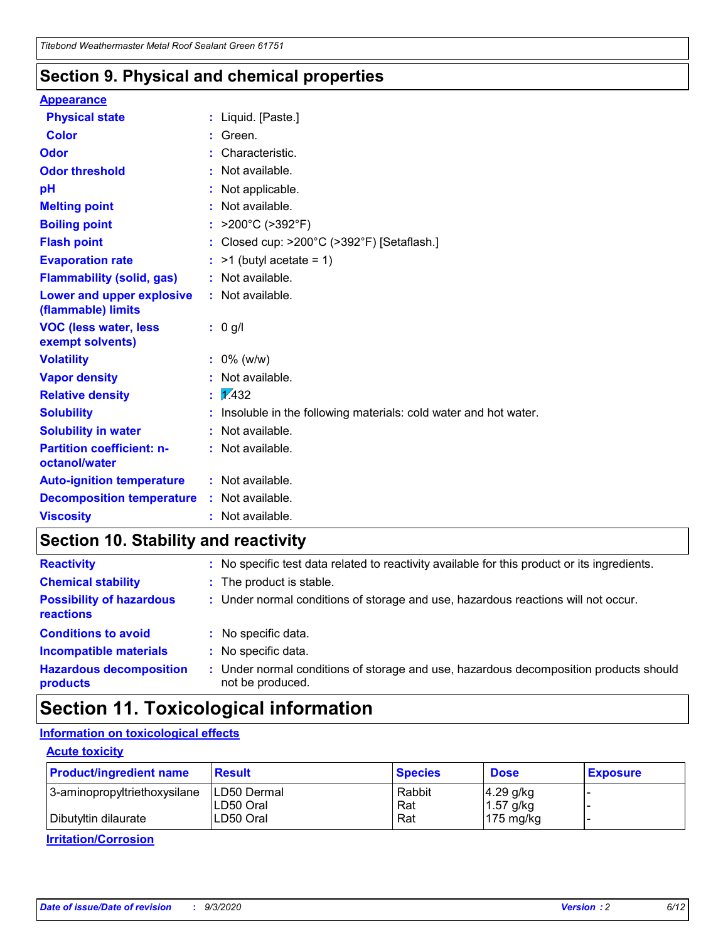### **Section 9. Physical and chemical properties**

### **Appearance**

| <b>Physical state</b>                             |    | : Liquid. [Paste.]                                              |
|---------------------------------------------------|----|-----------------------------------------------------------------|
| <b>Color</b>                                      |    | Green.                                                          |
| Odor                                              |    | Characteristic.                                                 |
| <b>Odor threshold</b>                             | ÷. | Not available.                                                  |
| pH                                                |    | Not applicable.                                                 |
| <b>Melting point</b>                              |    | : Not available.                                                |
| <b>Boiling point</b>                              |    | : $>200^{\circ}$ C ( $>392^{\circ}$ F)                          |
| <b>Flash point</b>                                |    | Closed cup: >200°C (>392°F) [Setaflash.]                        |
| <b>Evaporation rate</b>                           |    | $:$ >1 (butyl acetate = 1)                                      |
| <b>Flammability (solid, gas)</b>                  |    | : Not available.                                                |
| Lower and upper explosive<br>(flammable) limits   |    | : Not available.                                                |
| <b>VOC (less water, less)</b><br>exempt solvents) |    | : 0 g/l                                                         |
| <b>Volatility</b>                                 |    | $: 0\%$ (w/w)                                                   |
| <b>Vapor density</b>                              |    | Not available.                                                  |
| <b>Relative density</b>                           |    | $\frac{1}{2}$ 2.432                                             |
| <b>Solubility</b>                                 |    | Insoluble in the following materials: cold water and hot water. |
| <b>Solubility in water</b>                        |    | Not available.                                                  |
| <b>Partition coefficient: n-</b><br>octanol/water |    | $:$ Not available.                                              |
| <b>Auto-ignition temperature</b>                  |    | : Not available.                                                |
| <b>Decomposition temperature</b>                  |    | : Not available.                                                |
| <b>Viscosity</b>                                  |    | : Not available.                                                |

# **Section 10. Stability and reactivity**

| <b>Reactivity</b>                            |    | : No specific test data related to reactivity available for this product or its ingredients.            |
|----------------------------------------------|----|---------------------------------------------------------------------------------------------------------|
| <b>Chemical stability</b>                    |    | : The product is stable.                                                                                |
| <b>Possibility of hazardous</b><br>reactions |    | : Under normal conditions of storage and use, hazardous reactions will not occur.                       |
| <b>Conditions to avoid</b>                   |    | : No specific data.                                                                                     |
| <b>Incompatible materials</b>                | ٠. | No specific data.                                                                                       |
| <b>Hazardous decomposition</b><br>products   | ÷. | Under normal conditions of storage and use, hazardous decomposition products should<br>not be produced. |

# **Section 11. Toxicological information**

### **Information on toxicological effects**

### **Acute toxicity**

| <b>Product/ingredient name</b> | <b>Result</b>           | <b>Species</b> | <b>Dose</b>                | <b>Exposure</b> |
|--------------------------------|-------------------------|----------------|----------------------------|-----------------|
| 3-aminopropyltriethoxysilane   | <b>ILD50 Dermal</b>     | Rabbit         | 4.29 g/kg                  |                 |
| Dibutyltin dilaurate           | ILD50 Oral<br>LD50 Oral | Rat<br>Rat     | $1.57$ g/kg<br>175 $mg/kg$ |                 |
|                                |                         |                |                            |                 |

**Irritation/Corrosion**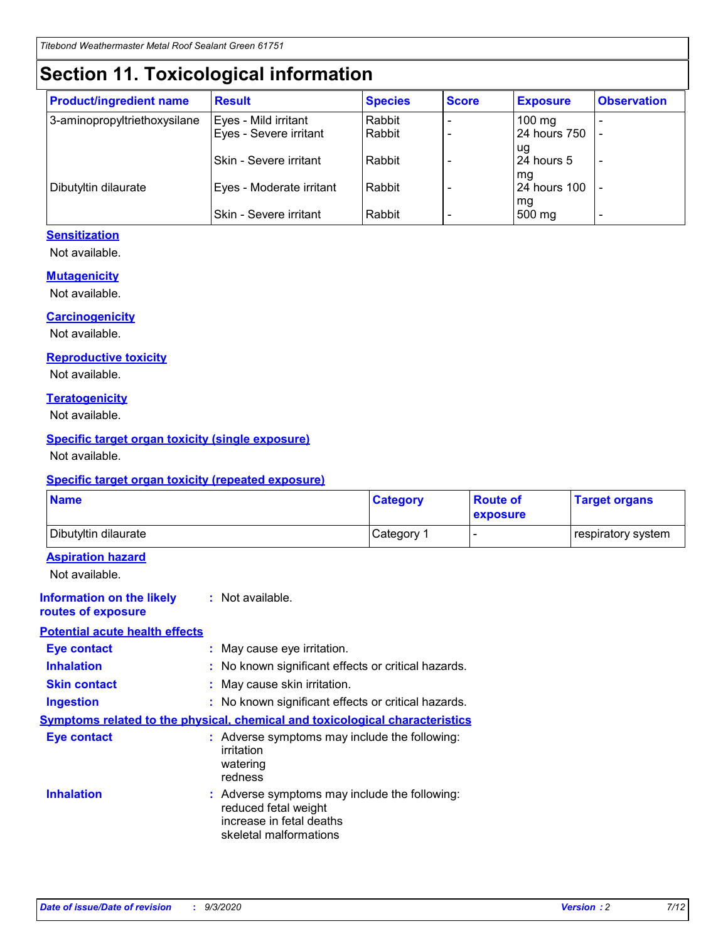# **Section 11. Toxicological information**

| <b>Product/ingredient name</b> | <b>Result</b>                 | <b>Species</b> | <b>Score</b> | <b>Exposure</b>    | <b>Observation</b>       |
|--------------------------------|-------------------------------|----------------|--------------|--------------------|--------------------------|
| 3-aminopropyltriethoxysilane   | Eyes - Mild irritant          | Rabbit         |              | $100 \text{ mg}$   |                          |
|                                | Eyes - Severe irritant        | Rabbit         |              | 24 hours 750       |                          |
|                                |                               |                |              | ug                 |                          |
|                                | <b>Skin - Severe irritant</b> | Rabbit         |              | 24 hours 5         | $\overline{\phantom{0}}$ |
| Dibutyltin dilaurate           | Eyes - Moderate irritant      | Rabbit         |              | mg<br>24 hours 100 |                          |
|                                |                               |                |              | mg                 |                          |
|                                | Skin - Severe irritant        | Rabbit         |              | 500 mg             | -                        |

### **Sensitization**

Not available.

### **Mutagenicity**

Not available.

### **Carcinogenicity**

Not available.

### **Reproductive toxicity**

Not available.

### **Teratogenicity**

Not available.

### **Specific target organ toxicity (single exposure)**

Not available.

### **Specific target organ toxicity (repeated exposure)**

| <b>Name</b>                                                                         |                                                                            | <b>Category</b>                                     | <b>Route of</b><br>exposure | <b>Target organs</b> |  |  |
|-------------------------------------------------------------------------------------|----------------------------------------------------------------------------|-----------------------------------------------------|-----------------------------|----------------------|--|--|
| Dibutyltin dilaurate                                                                |                                                                            | Category 1                                          |                             | respiratory system   |  |  |
| <b>Aspiration hazard</b><br>Not available.                                          |                                                                            |                                                     |                             |                      |  |  |
| <b>Information on the likely</b><br>routes of exposure                              | : Not available.                                                           |                                                     |                             |                      |  |  |
| <b>Potential acute health effects</b>                                               |                                                                            |                                                     |                             |                      |  |  |
| <b>Eye contact</b>                                                                  | : May cause eye irritation.                                                |                                                     |                             |                      |  |  |
| <b>Inhalation</b>                                                                   |                                                                            | : No known significant effects or critical hazards. |                             |                      |  |  |
| <b>Skin contact</b>                                                                 |                                                                            | : May cause skin irritation.                        |                             |                      |  |  |
| <b>Ingestion</b>                                                                    |                                                                            | : No known significant effects or critical hazards. |                             |                      |  |  |
| <b>Symptoms related to the physical, chemical and toxicological characteristics</b> |                                                                            |                                                     |                             |                      |  |  |
| <b>Eye contact</b>                                                                  | irritation<br>watering<br>redness                                          | : Adverse symptoms may include the following:       |                             |                      |  |  |
| <b>Inhalation</b>                                                                   | reduced fetal weight<br>increase in fetal deaths<br>skeletal malformations | : Adverse symptoms may include the following:       |                             |                      |  |  |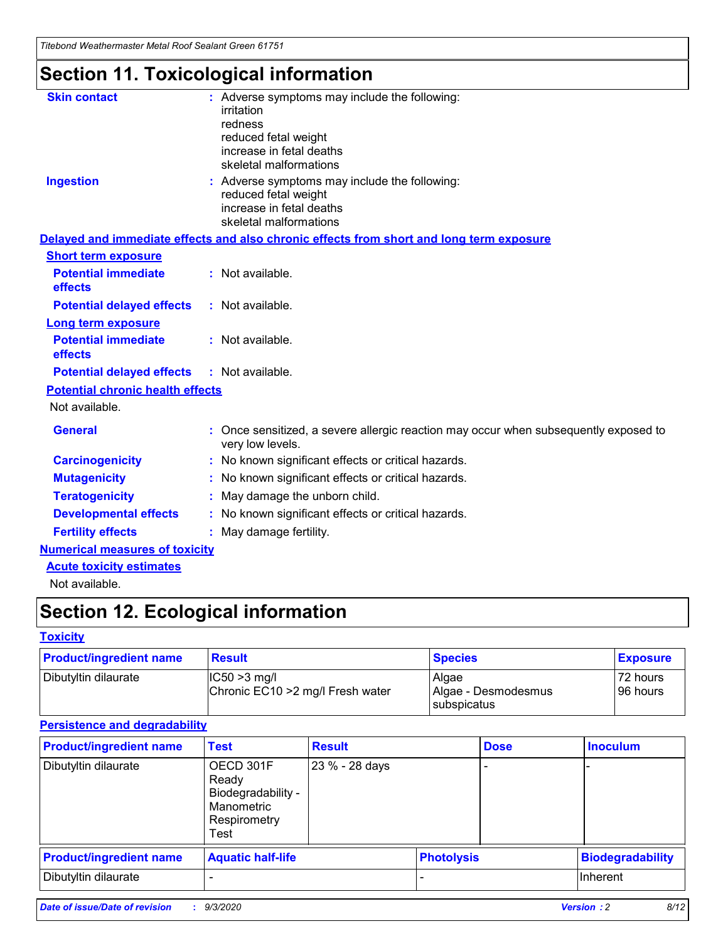*Titebond Weathermaster Metal Roof Sealant Green 61751*

# **Section 11. Toxicological information**

| <b>Skin contact</b>                     | : Adverse symptoms may include the following:<br>irritation                                                                 |  |
|-----------------------------------------|-----------------------------------------------------------------------------------------------------------------------------|--|
|                                         | redness                                                                                                                     |  |
|                                         | reduced fetal weight<br>increase in fetal deaths                                                                            |  |
|                                         | skeletal malformations                                                                                                      |  |
| <b>Ingestion</b>                        | : Adverse symptoms may include the following:<br>reduced fetal weight<br>increase in fetal deaths<br>skeletal malformations |  |
|                                         | Delayed and immediate effects and also chronic effects from short and long term exposure                                    |  |
| <b>Short term exposure</b>              |                                                                                                                             |  |
| <b>Potential immediate</b><br>effects   | : Not available.                                                                                                            |  |
| <b>Potential delayed effects</b>        | : Not available.                                                                                                            |  |
| <b>Long term exposure</b>               |                                                                                                                             |  |
| <b>Potential immediate</b><br>effects   | : Not available.                                                                                                            |  |
| <b>Potential delayed effects</b>        | : Not available.                                                                                                            |  |
| <b>Potential chronic health effects</b> |                                                                                                                             |  |
| Not available.                          |                                                                                                                             |  |
| <b>General</b>                          | : Once sensitized, a severe allergic reaction may occur when subsequently exposed to<br>very low levels.                    |  |
| <b>Carcinogenicity</b>                  | : No known significant effects or critical hazards.                                                                         |  |
| <b>Mutagenicity</b>                     | : No known significant effects or critical hazards.                                                                         |  |
| <b>Teratogenicity</b>                   | May damage the unborn child.                                                                                                |  |
| <b>Developmental effects</b>            | : No known significant effects or critical hazards.                                                                         |  |
| <b>Fertility effects</b>                | : May damage fertility.                                                                                                     |  |
| <b>Numerical measures of toxicity</b>   |                                                                                                                             |  |
| <b>Acute toxicity estimates</b>         |                                                                                                                             |  |
| والمادانون والملا                       |                                                                                                                             |  |

Not available.

# **Section 12. Ecological information**

### **Toxicity**

| <b>Product/ingredient name</b>                                              | <b>Result</b> | <b>Species</b>               | <b>Exposure</b>       |
|-----------------------------------------------------------------------------|---------------|------------------------------|-----------------------|
| Dibutyltin dilaurate<br>$ CC50>3$ mg/l<br>Chronic EC10 > 2 mg/l Fresh water |               | Algae<br>Algae - Desmodesmus | 72 hours<br>196 hours |
|                                                                             |               | <b>I</b> subspicatus         |                       |

### **Persistence and degradability**

| <b>Product/ingredient name</b> | <b>Test</b>                                                                    | <b>Result</b>  |                   | <b>Dose</b> | <b>Inoculum</b>         |
|--------------------------------|--------------------------------------------------------------------------------|----------------|-------------------|-------------|-------------------------|
| Dibutyltin dilaurate           | OECD 301F<br>Ready<br>Biodegradability -<br>Manometric<br>Respirometry<br>Test | 23 % - 28 days |                   |             |                         |
| <b>Product/ingredient name</b> | <b>Aquatic half-life</b>                                                       |                | <b>Photolysis</b> |             | <b>Biodegradability</b> |
| Dibutyltin dilaurate           |                                                                                |                |                   |             | <b>Inherent</b>         |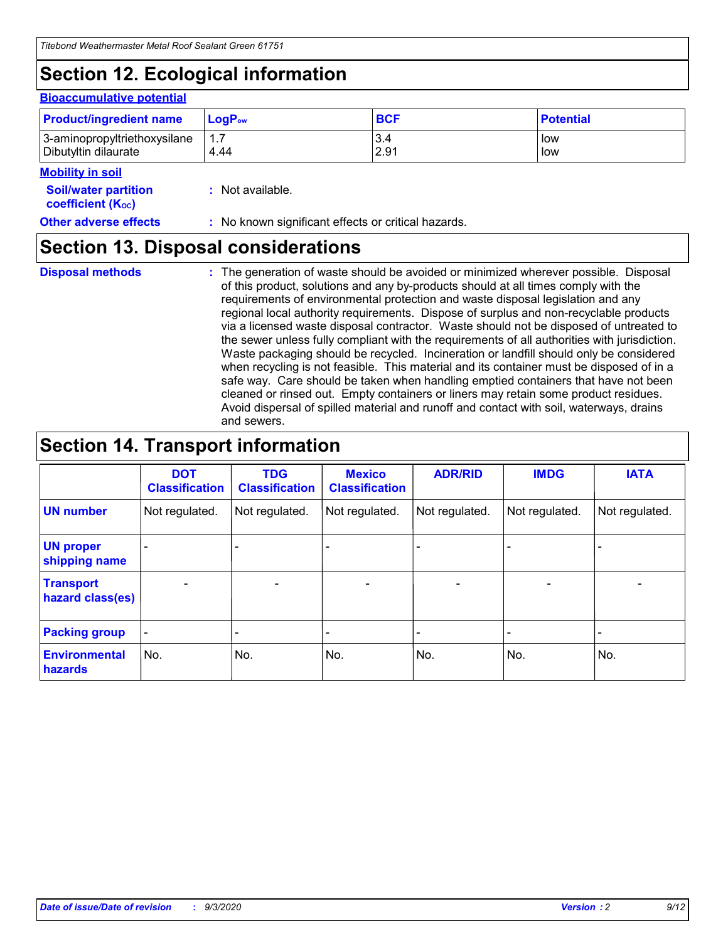# **Section 12. Ecological information**

#### **Bioaccumulative potential**

| <b>Product/ingredient name</b> | $\mathsf{LogP}_\mathsf{ow}$ | <b>BCF</b> | <b>Potential</b> |
|--------------------------------|-----------------------------|------------|------------------|
| 3-aminopropyltriethoxysilane   | 1.7                         | 3.4        | low              |
| Dibutyltin dilaurate           | 4.44                        | 2.91       | low              |

#### **Mobility in soil**

| <b>Soil/water partition</b>    | : Not available. |
|--------------------------------|------------------|
| coefficient (K <sub>oc</sub> ) |                  |

### **Other adverse effects** : No known significant effects or critical hazards.

### **Section 13. Disposal considerations**

**Disposal methods :**

The generation of waste should be avoided or minimized wherever possible. Disposal of this product, solutions and any by-products should at all times comply with the requirements of environmental protection and waste disposal legislation and any regional local authority requirements. Dispose of surplus and non-recyclable products via a licensed waste disposal contractor. Waste should not be disposed of untreated to the sewer unless fully compliant with the requirements of all authorities with jurisdiction. Waste packaging should be recycled. Incineration or landfill should only be considered when recycling is not feasible. This material and its container must be disposed of in a safe way. Care should be taken when handling emptied containers that have not been cleaned or rinsed out. Empty containers or liners may retain some product residues. Avoid dispersal of spilled material and runoff and contact with soil, waterways, drains and sewers.

# **Section 14. Transport information**

|                                      | <b>DOT</b><br><b>Classification</b> | <b>TDG</b><br><b>Classification</b> | <b>Mexico</b><br><b>Classification</b> | <b>ADR/RID</b>           | <b>IMDG</b>              | <b>IATA</b>    |
|--------------------------------------|-------------------------------------|-------------------------------------|----------------------------------------|--------------------------|--------------------------|----------------|
| <b>UN number</b>                     | Not regulated.                      | Not regulated.                      | Not regulated.                         | Not regulated.           | Not regulated.           | Not regulated. |
| <b>UN proper</b><br>shipping name    |                                     |                                     |                                        |                          |                          |                |
| <b>Transport</b><br>hazard class(es) | $\overline{\phantom{0}}$            | $\overline{\phantom{0}}$            | $\overline{\phantom{0}}$               | $\overline{\phantom{0}}$ | $\overline{\phantom{0}}$ |                |
| <b>Packing group</b>                 |                                     |                                     |                                        |                          |                          |                |
| <b>Environmental</b><br>hazards      | No.                                 | No.                                 | No.                                    | No.                      | No.                      | No.            |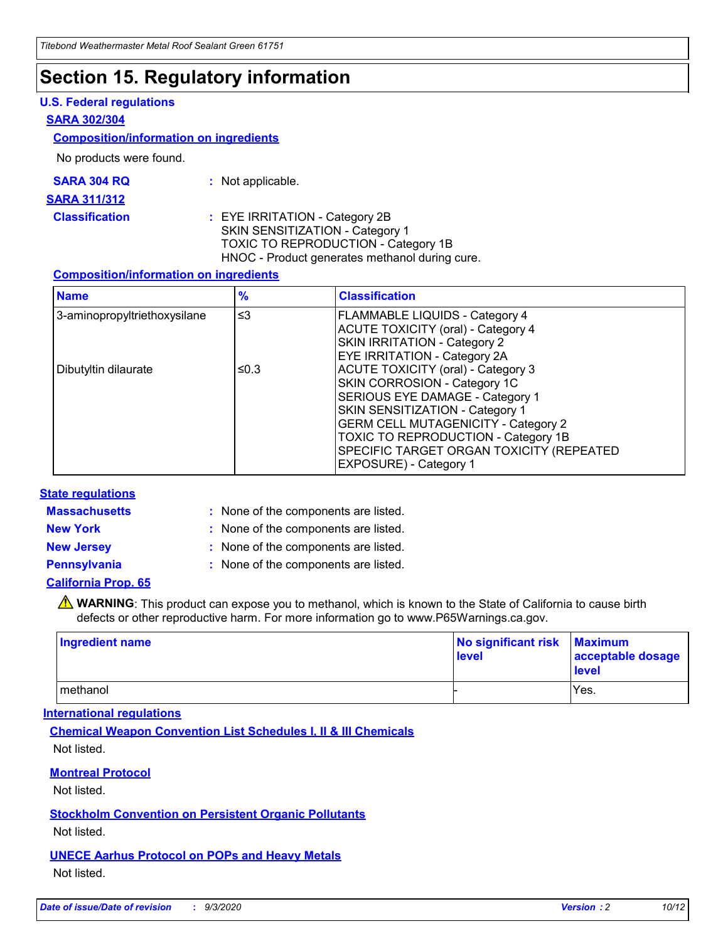# **Section 15. Regulatory information**

### **U.S. Federal regulations**

### **SARA 302/304**

### **Composition/information on ingredients**

No products were found.

| SARA 304 RQ | Not applicable. |
|-------------|-----------------|
|-------------|-----------------|

#### **SARA 311/312**

**Classification :** EYE IRRITATION - Category 2B SKIN SENSITIZATION - Category 1 TOXIC TO REPRODUCTION - Category 1B HNOC - Product generates methanol during cure.

### **Composition/information on ingredients**

| <b>Name</b>                  | $\frac{9}{6}$ | <b>Classification</b>                                                                                                                                                                                                                                                                                      |
|------------------------------|---------------|------------------------------------------------------------------------------------------------------------------------------------------------------------------------------------------------------------------------------------------------------------------------------------------------------------|
| 3-aminopropyltriethoxysilane | $\leq$ 3      | <b>FLAMMABLE LIQUIDS - Category 4</b><br><b>ACUTE TOXICITY (oral) - Category 4</b><br><b>SKIN IRRITATION - Category 2</b><br>EYE IRRITATION - Category 2A                                                                                                                                                  |
| Dibutyltin dilaurate         | ≤0.3          | <b>ACUTE TOXICITY (oral) - Category 3</b><br>SKIN CORROSION - Category 1C<br>SERIOUS EYE DAMAGE - Category 1<br>SKIN SENSITIZATION - Category 1<br><b>GERM CELL MUTAGENICITY - Category 2</b><br>TOXIC TO REPRODUCTION - Category 1B<br>SPECIFIC TARGET ORGAN TOXICITY (REPEATED<br>EXPOSURE) - Category 1 |

### **State regulations**

**Massachusetts :**

: None of the components are listed.

**New York :** None of the components are listed. **New Jersey :** None of the components are listed.

**Pennsylvania :** None of the components are listed.

### **California Prop. 65**

WARNING: This product can expose you to methanol, which is known to the State of California to cause birth defects or other reproductive harm. For more information go to www.P65Warnings.ca.gov.

| Ingredient name | No significant risk Maximum<br>level | acceptable dosage<br><b>level</b> |
|-----------------|--------------------------------------|-----------------------------------|
| I methanol      |                                      | Yes.                              |

### **International regulations**

**Chemical Weapon Convention List Schedules I, II & III Chemicals** Not listed.

**Montreal Protocol**

Not listed.

**Stockholm Convention on Persistent Organic Pollutants**

Not listed.

**UNECE Aarhus Protocol on POPs and Heavy Metals** Not listed.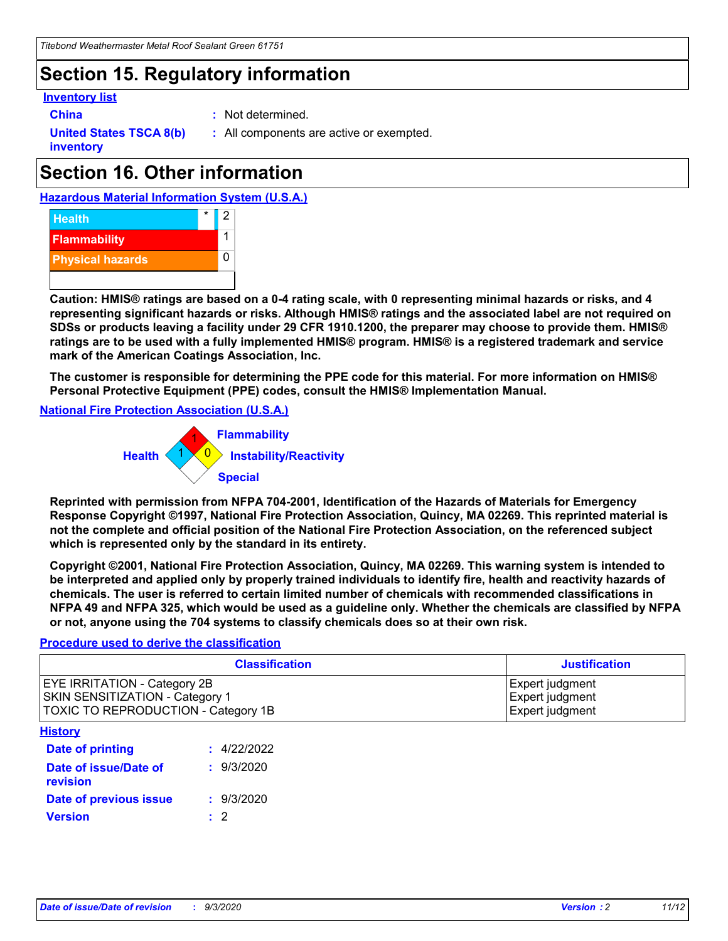# **Section 15. Regulatory information**

### **Inventory list**

- 
- **China :** Not determined.

**United States TSCA 8(b) inventory**

**:** All components are active or exempted.

# **Section 16. Other information**





**Caution: HMIS® ratings are based on a 0-4 rating scale, with 0 representing minimal hazards or risks, and 4 representing significant hazards or risks. Although HMIS® ratings and the associated label are not required on SDSs or products leaving a facility under 29 CFR 1910.1200, the preparer may choose to provide them. HMIS® ratings are to be used with a fully implemented HMIS® program. HMIS® is a registered trademark and service mark of the American Coatings Association, Inc.**

**The customer is responsible for determining the PPE code for this material. For more information on HMIS® Personal Protective Equipment (PPE) codes, consult the HMIS® Implementation Manual.**

**National Fire Protection Association (U.S.A.)**



**Reprinted with permission from NFPA 704-2001, Identification of the Hazards of Materials for Emergency Response Copyright ©1997, National Fire Protection Association, Quincy, MA 02269. This reprinted material is not the complete and official position of the National Fire Protection Association, on the referenced subject which is represented only by the standard in its entirety.**

**Copyright ©2001, National Fire Protection Association, Quincy, MA 02269. This warning system is intended to be interpreted and applied only by properly trained individuals to identify fire, health and reactivity hazards of chemicals. The user is referred to certain limited number of chemicals with recommended classifications in NFPA 49 and NFPA 325, which would be used as a guideline only. Whether the chemicals are classified by NFPA or not, anyone using the 704 systems to classify chemicals does so at their own risk.**

### **Procedure used to derive the classification**

| <b>Classification</b>                                                                                         | <b>Justification</b>                                  |
|---------------------------------------------------------------------------------------------------------------|-------------------------------------------------------|
| <b>EYE IRRITATION - Category 2B</b><br>SKIN SENSITIZATION - Category 1<br>TOXIC TO REPRODUCTION - Category 1B | Expert judgment<br>Expert judgment<br>Expert judgment |
| <b>History</b>                                                                                                |                                                       |

| .                                 |             |
|-----------------------------------|-------------|
| <b>Date of printing</b>           | : 4/22/2022 |
| Date of issue/Date of<br>revision | : 9/3/2020  |
| Date of previous issue            | : 9/3/2020  |
| <b>Version</b>                    | $\cdot$ 2   |
|                                   |             |